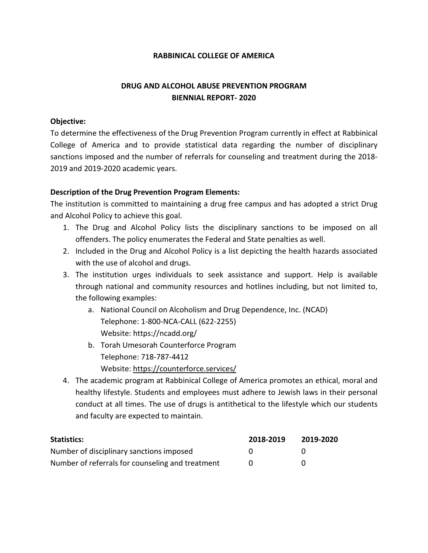#### **RABBINICAL COLLEGE OF AMERICA**

# **DRUG AND ALCOHOL ABUSE PREVENTION PROGRAM BIENNIAL REPORT- 2020**

### **Objective:**

To determine the effectiveness of the Drug Prevention Program currently in effect at Rabbinical College of America and to provide statistical data regarding the number of disciplinary sanctions imposed and the number of referrals for counseling and treatment during the 2018- 2019 and 2019-2020 academic years.

## **Description of the Drug Prevention Program Elements:**

The institution is committed to maintaining a drug free campus and has adopted a strict Drug and Alcohol Policy to achieve this goal.

- 1. The Drug and Alcohol Policy lists the disciplinary sanctions to be imposed on all offenders. The policy enumerates the Federal and State penalties as well.
- 2. Included in the Drug and Alcohol Policy is a list depicting the health hazards associated with the use of alcohol and drugs.
- 3. The institution urges individuals to seek assistance and support. Help is available through national and community resources and hotlines including, but not limited to, the following examples:
	- a. National Council on Alcoholism and Drug Dependence, Inc. (NCAD) Telephone: 1-800-NCA-CALL (622-2255) Website: <https://ncadd.org/>
	- b. Torah Umesorah Counterforce Program Telephone: 718-787-4412 Website:<https://counterforce.services/>
- 4. The academic program at Rabbinical College of America promotes an ethical, moral and healthy lifestyle. Students and employees must adhere to Jewish laws in their personal conduct at all times. The use of drugs is antithetical to the lifestyle which our students and faculty are expected to maintain.

| <b>Statistics:</b>                               | 2018-2019 | 2019-2020 |
|--------------------------------------------------|-----------|-----------|
| Number of disciplinary sanctions imposed         |           |           |
| Number of referrals for counseling and treatment |           |           |